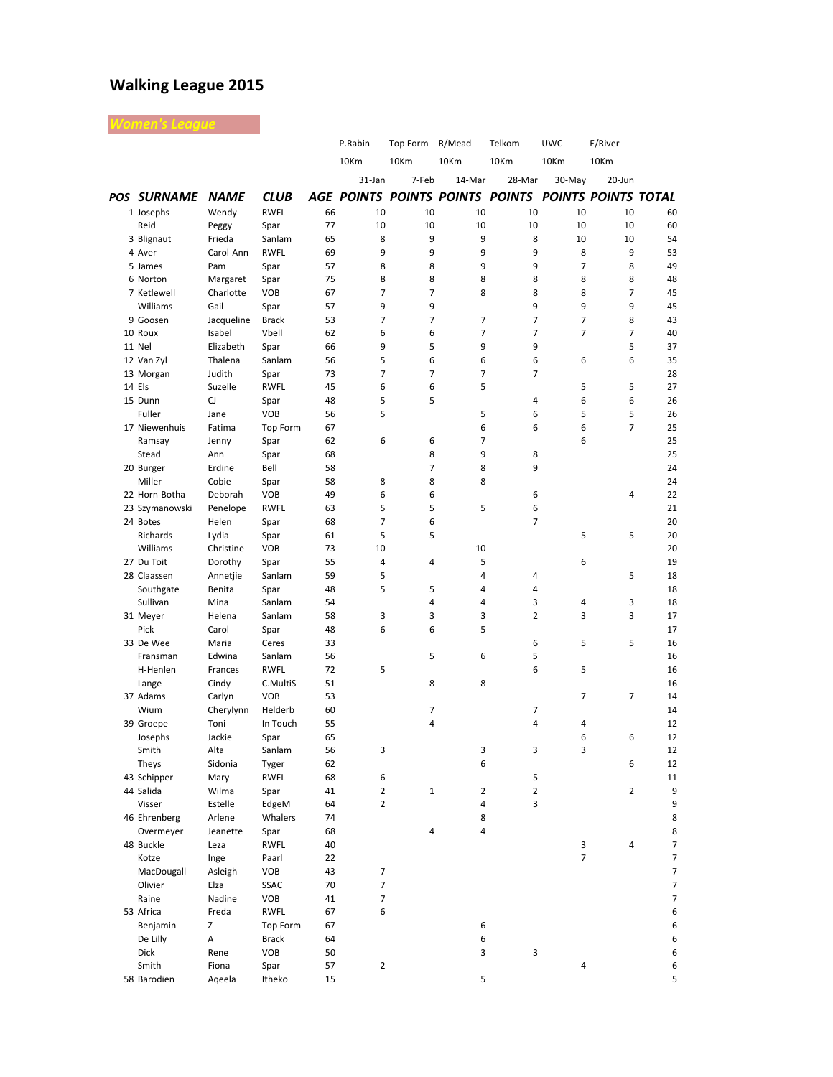## **Walking League 2015**

| /omen's League         |                   |                     |          |         |                     |                |                                                     |                |                |                          |
|------------------------|-------------------|---------------------|----------|---------|---------------------|----------------|-----------------------------------------------------|----------------|----------------|--------------------------|
|                        |                   |                     |          | P.Rabin | Top Form R/Mead     |                | Telkom                                              | <b>UWC</b>     | E/River        |                          |
|                        |                   |                     |          | 10Km    | 10Km                | 10Km           | 10Km                                                | 10Km           | 10Km           |                          |
|                        |                   |                     |          | 31-Jan  | 7-Feb               | 14-Mar         | 28-Mar                                              | 30-May         | 20-Jun         |                          |
| POS SURNAME NAME       |                   | <b>CLUB</b>         |          |         |                     |                | AGE POINTS POINTS POINTS POINTS POINTS POINTS TOTAL |                |                |                          |
| 1 Josephs              | Wendy             | <b>RWFL</b>         | 66       | 10      | 10                  | 10             | 10                                                  | 10             | 10             | 60                       |
| Reid                   | Peggy             | Spar                | 77       | 10      | 10                  | 10             | 10                                                  | 10             | 10             | 60                       |
| 3 Blignaut             | Frieda            | Sanlam              | 65       | 8       | 9                   | 9              | 8                                                   | 10             | 10             | 54                       |
| 4 Aver                 | Carol-Ann         | <b>RWFL</b>         | 69       | 9       | 9                   | 9              | 9                                                   | 8              | 9              | 53                       |
| 5 James                | Pam               | Spar                | 57       | 8       | 8                   | 9              | 9                                                   | $\overline{7}$ | 8              | 49                       |
| 6 Norton               | Margaret          | Spar                | 75       | 8       | 8                   | 8              | 8                                                   | 8              | 8              | 48                       |
| 7 Ketlewell            | Charlotte         | <b>VOB</b>          | 67       | 7       | $\overline{7}$      | 8              | 8                                                   | 8              | 7              | 45                       |
| Williams               | Gail              | Spar                | 57       | 9       | 9                   |                | 9                                                   | 9              | 9              | 45                       |
| 9 Goosen               | Jacqueline        | <b>Brack</b>        | 53       | 7       | $\overline{7}$      | 7              | $\overline{7}$                                      | $\overline{7}$ | 8              | 43                       |
| 10 Roux                | Isabel            | Vbell               | 62       | 6       | 6                   | $\overline{7}$ | $\overline{7}$                                      | $\overline{7}$ | $\overline{7}$ | 40                       |
| 11 Nel                 | Elizabeth         | Spar                | 66       | 9       | 5<br>6              | 9<br>6         | 9<br>6                                              |                | 5<br>6         | 37                       |
| 12 Van Zyl             | Thalena<br>Judith | Sanlam<br>Spar      | 56<br>73 | 5<br>7  | $\overline{7}$      | $\overline{7}$ | 7                                                   | 6              |                | 35<br>28                 |
| 13 Morgan<br>14 Els    | Suzelle           | <b>RWFL</b>         | 45       | 6       | 6                   | 5              |                                                     | 5              | 5              | 27                       |
| 15 Dunn                | CJ                | Spar                | 48       | 5       | 5                   |                | 4                                                   | 6              | 6              | 26                       |
| Fuller                 | Jane              | <b>VOB</b>          | 56       | 5       |                     | 5              | 6                                                   | 5              | 5              | 26                       |
| 17 Niewenhuis          | Fatima            | <b>Top Form</b>     | 67       |         |                     | 6              | 6                                                   | 6              | 7              | 25                       |
| Ramsay                 | Jenny             | Spar                | 62       | 6       | 6                   | $\overline{7}$ |                                                     | 6              |                | 25                       |
| Stead                  | Ann               | Spar                | 68       |         | 8                   | 9              | 8                                                   |                |                | 25                       |
| 20 Burger              | Erdine            | Bell                | 58       |         | $\overline{7}$      | 8              | 9                                                   |                |                | 24                       |
| Miller                 | Cobie             | Spar                | 58       | 8       | 8                   | 8              |                                                     |                |                | 24                       |
| 22 Horn-Botha          | Deborah           | <b>VOB</b>          | 49       | 6       | 6                   |                | 6                                                   |                | 4              | 22                       |
| 23 Szymanowski         | Penelope          | <b>RWFL</b>         | 63       | 5       | 5                   | 5              | 6                                                   |                |                | 21                       |
| 24 Botes               | Helen             | Spar                | 68       | 7       | 6                   |                | $\overline{7}$                                      |                |                | 20                       |
| Richards               | Lydia             | Spar                | 61       | 5       | 5                   |                |                                                     | 5              | 5              | 20                       |
| Williams               | Christine         | <b>VOB</b>          | 73       | 10      |                     | 10             |                                                     |                |                | 20                       |
| 27 Du Toit             | Dorothy           | Spar                | 55       | 4       | 4                   | 5              |                                                     | 6              |                | 19                       |
| 28 Claassen            | Annetjie          | Sanlam              | 59       | 5       |                     | 4              | 4                                                   |                | 5              | 18                       |
| Southgate              | Benita            | Spar                | 48       | 5       | 5<br>$\overline{4}$ | 4<br>4         | 4<br>3                                              |                | 3              | 18                       |
| Sullivan<br>31 Meyer   | Mina<br>Helena    | Sanlam<br>Sanlam    | 54<br>58 | 3       | 3                   | 3              | $\overline{2}$                                      | 4<br>3         | 3              | 18<br>17                 |
| Pick                   | Carol             | Spar                | 48       | 6       | 6                   | 5              |                                                     |                |                | 17                       |
| 33 De Wee              | Maria             | Ceres               | 33       |         |                     |                | 6                                                   | 5              | 5              | 16                       |
| Fransman               | Edwina            | Sanlam              | 56       |         | 5                   | 6              | 5                                                   |                |                | 16                       |
| H-Henlen               | Frances           | <b>RWFL</b>         | 72       | 5       |                     |                | 6                                                   | 5              |                | 16                       |
| Lange                  | Cindy             | C.MultiS            | 51       |         | 8                   | 8              |                                                     |                |                | 16                       |
| 37 Adams               | Carlyn            | <b>VOB</b>          | 53       |         |                     |                |                                                     | $\overline{7}$ | 7              | 14                       |
| Wium                   | Cherylynn         | Helderb             | 60       |         | 7                   |                | 7                                                   |                |                | 14                       |
| 39 Groepe              | Toni              | In Touch            | 55       |         | 4                   |                | 4                                                   | 4              |                | 12                       |
| Josephs                | Jackie            | Spar                | 65       |         |                     |                |                                                     | 6              | 6              | 12                       |
| Smith                  | Alta              | Sanlam              | 56       | 3       |                     | 3              | 3                                                   | 3              |                | 12                       |
| Theys                  | Sidonia           | Tyger               | 62       |         |                     | 6              |                                                     |                | 6              | 12                       |
| 43 Schipper            | Mary              | <b>RWFL</b>         | 68       | 6       |                     |                | 5                                                   |                |                | 11                       |
| 44 Salida              | Wilma             | Spar                | 41       | 2       | $\mathbf 1$         | 2              | 2                                                   |                | $\overline{2}$ | 9                        |
| Visser                 | Estelle           | EdgeM               | 64       | 2       |                     | 4              | 3                                                   |                |                | 9                        |
| 46 Ehrenberg           | Arlene            | Whalers             | 74       |         |                     | 8              |                                                     |                |                | 8                        |
| Overmeyer<br>48 Buckle | Jeanette<br>Leza  | Spar<br><b>RWFL</b> | 68<br>40 |         | 4                   | 4              |                                                     |                | 4              | 8                        |
| Kotze                  | Inge              | Paarl               | 22       |         |                     |                |                                                     | 3<br>7         |                | 7<br>7                   |
| MacDougall             | Asleigh           | VOB                 | 43       | 7       |                     |                |                                                     |                |                | $\overline{7}$           |
| Olivier                | Elza              | SSAC                | 70       | 7       |                     |                |                                                     |                |                | $\overline{\phantom{a}}$ |
| Raine                  | Nadine            | VOB                 | 41       | 7       |                     |                |                                                     |                |                | $\overline{7}$           |
| 53 Africa              | Freda             | <b>RWFL</b>         | 67       | 6       |                     |                |                                                     |                |                | 6                        |
| Benjamin               | Z                 | Top Form            | 67       |         |                     | 6              |                                                     |                |                | 6                        |
| De Lilly               | А                 | <b>Brack</b>        | 64       |         |                     | 6              |                                                     |                |                | 6                        |
| Dick                   | Rene              | VOB                 | 50       |         |                     | 3              | 3                                                   |                |                | 6                        |
| Smith                  | Fiona             | Spar                | 57       | 2       |                     |                |                                                     | 4              |                | 6                        |
| 58 Barodien            | Aqeela            | Itheko              | 15       |         |                     | 5              |                                                     |                |                | 5                        |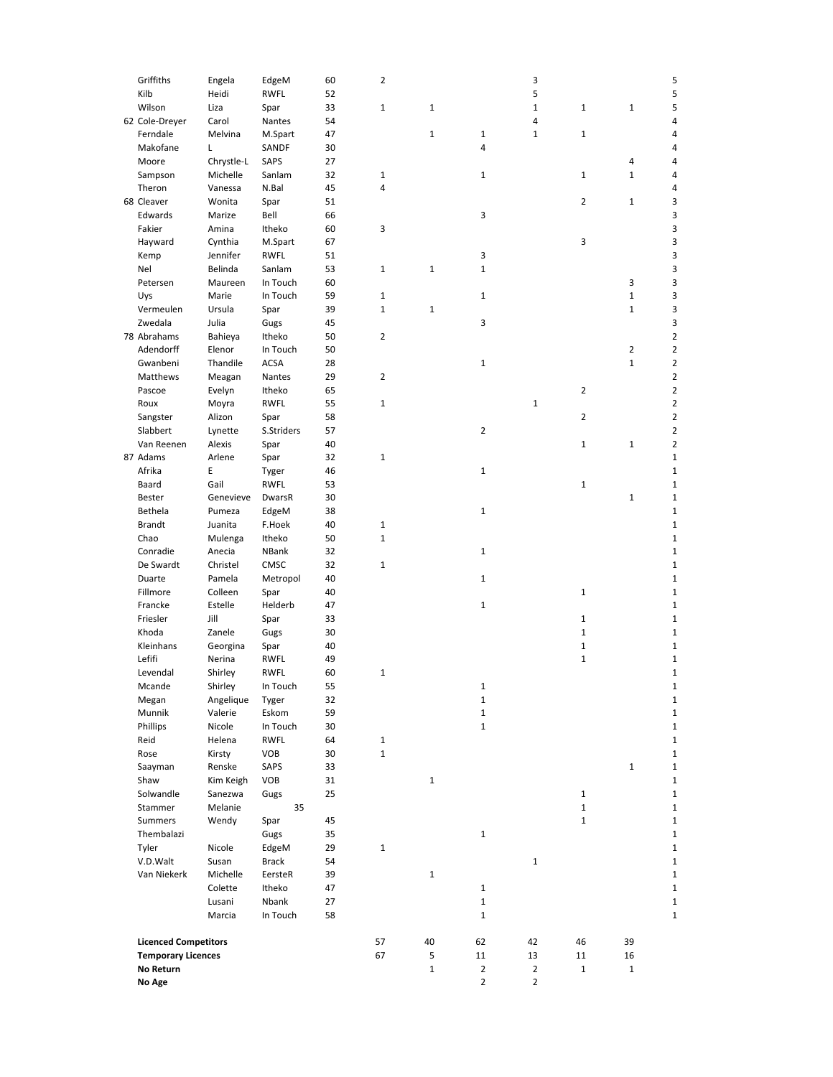|  | Griffiths                   | Engela     | EdgeM       | 60 | 2            |              |                | 3              |                | 5                            |
|--|-----------------------------|------------|-------------|----|--------------|--------------|----------------|----------------|----------------|------------------------------|
|  | Kilb                        | Heidi      | <b>RWFL</b> | 52 |              |              |                | 5              |                | 5                            |
|  | Wilson                      | Liza       | Spar        | 33 | $1\,$        | 1            |                | $\mathbf 1$    | 1              | $\mathbf 1$<br>5             |
|  | 62 Cole-Dreyer              | Carol      | Nantes      | 54 |              |              |                | 4              |                | 4                            |
|  | Ferndale                    | Melvina    | M.Spart     | 47 |              | $\mathbf 1$  | $\mathbf 1$    | $1\,$          | $\mathbf 1$    | 4                            |
|  | Makofane                    | Г          | SANDF       | 30 |              |              | 4              |                |                | 4                            |
|  | Moore                       | Chrystle-L | SAPS        | 27 |              |              |                |                |                | 4<br>4                       |
|  | Sampson                     | Michelle   | Sanlam      | 32 | $\mathbf{1}$ |              | $\mathbf 1$    |                | 1              | $\mathbf{1}$<br>4            |
|  | Theron                      | Vanessa    | N.Bal       | 45 | 4            |              |                |                |                | 4                            |
|  | 68 Cleaver                  | Wonita     | Spar        | 51 |              |              |                |                | 2              | 3<br>1                       |
|  | Edwards                     | Marize     | Bell        | 66 |              |              | 3              |                |                | 3                            |
|  | Fakier                      | Amina      | Itheko      | 60 | 3            |              |                |                |                | 3                            |
|  | Hayward                     | Cynthia    | M.Spart     | 67 |              |              |                |                | 3              | 3                            |
|  | Kemp                        | Jennifer   | <b>RWFL</b> | 51 |              |              | 3              |                |                | 3                            |
|  | Nel                         | Belinda    | Sanlam      | 53 | $\mathbf{1}$ | $\mathbf 1$  | $\mathbf 1$    |                |                | 3                            |
|  | Petersen                    | Maureen    | In Touch    | 60 |              |              |                |                |                | 3<br>3                       |
|  | Uys                         | Marie      | In Touch    | 59 | $\mathbf{1}$ |              | $\mathbf{1}$   |                |                | $\mathbf 1$<br>3             |
|  | Vermeulen                   | Ursula     | Spar        | 39 | $\mathbf{1}$ | 1            |                |                |                | $\mathbf 1$<br>3             |
|  | Zwedala                     | Julia      | Gugs        | 45 |              |              | 3              |                |                | 3                            |
|  | 78 Abrahams                 | Bahieya    | Itheko      | 50 | 2            |              |                |                |                | 2                            |
|  | Adendorff                   | Elenor     | In Touch    | 50 |              |              |                |                |                | 2<br>$\overline{2}$          |
|  | Gwanbeni                    | Thandile   | <b>ACSA</b> | 28 |              |              | $\mathbf 1$    |                |                | $\mathbf 1$<br>2             |
|  | Matthews                    | Meagan     | Nantes      | 29 | 2            |              |                |                |                | $\overline{2}$               |
|  | Pascoe                      | Evelyn     | Itheko      | 65 |              |              |                |                | $\overline{2}$ | 2                            |
|  | Roux                        | Moyra      | <b>RWFL</b> | 55 | $\mathbf{1}$ |              |                | $\mathbf 1$    |                | 2                            |
|  | Sangster                    | Alizon     | Spar        | 58 |              |              |                |                | 2              | 2                            |
|  | Slabbert                    | Lynette    | S.Striders  | 57 |              |              | $\overline{2}$ |                |                | 2                            |
|  | Van Reenen                  | Alexis     | Spar        | 40 |              |              |                |                | $\mathbf 1$    | $\mathbf 1$<br>2             |
|  | 87 Adams                    | Arlene     | Spar        | 32 | $1\,$        |              |                |                |                | 1                            |
|  | Afrika                      | Ε          | Tyger       | 46 |              |              | $\mathbf{1}$   |                |                | 1                            |
|  | Baard                       | Gail       | RWFL        | 53 |              |              |                |                | $\mathbf 1$    | 1                            |
|  | Bester                      | Genevieve  | DwarsR      | 30 |              |              |                |                |                | $\mathbf 1$<br>1             |
|  | Bethela                     | Pumeza     | EdgeM       | 38 |              |              | 1              |                |                | 1                            |
|  | <b>Brandt</b>               | Juanita    | F.Hoek      | 40 | $\mathbf{1}$ |              |                |                |                | $\mathbf{1}$                 |
|  | Chao                        | Mulenga    | Itheko      | 50 | $\mathbf{1}$ |              |                |                |                | $\mathbf{1}$                 |
|  | Conradie                    | Anecia     | NBank       | 32 |              |              | $\mathbf{1}$   |                |                | $\mathbf{1}$                 |
|  | De Swardt                   | Christel   | CMSC        | 32 | $\mathbf{1}$ |              |                |                |                | $\mathbf{1}$                 |
|  | Duarte                      | Pamela     | Metropol    | 40 |              |              | $\mathbf{1}$   |                |                | 1                            |
|  | Fillmore                    | Colleen    | Spar        | 40 |              |              |                |                | $\mathbf 1$    | 1                            |
|  | Francke                     | Estelle    | Helderb     | 47 |              |              | $\mathbf 1$    |                |                | 1                            |
|  | Friesler                    | Jill       | Spar        | 33 |              |              |                |                | $\mathbf 1$    | $\mathbf{1}$                 |
|  | Khoda                       | Zanele     | Gugs        | 30 |              |              |                |                | $\mathbf 1$    | $\mathbf{1}$                 |
|  | Kleinhans                   | Georgina   | Spar        | 40 |              |              |                |                | $\mathbf 1$    | 1                            |
|  | Lefifi                      | Nerina     | RWFL        | 49 |              |              |                |                | $\mathbf 1$    | 1                            |
|  | Levendal                    | Shirley    | <b>RWFL</b> | 60 | $\mathbf{1}$ |              |                |                |                | $\mathbf{1}$                 |
|  | Mcande                      | Shirley    | In Touch    | 55 |              |              | 1              |                |                |                              |
|  | Megan                       | Angelique  | Tyger       | 32 |              |              | $\mathbf{1}$   |                |                | 1                            |
|  | Munnik                      | Valerie    | Eskom       | 59 |              |              | $\mathbf 1$    |                |                | 1                            |
|  | Phillips                    | Nicole     | In Touch    | 30 |              |              | $\mathbf 1$    |                |                | $\mathbf{1}$                 |
|  | Reid                        | Helena     | <b>RWFL</b> | 64 | $\mathbf{1}$ |              |                |                |                | $\mathbf{1}$                 |
|  | Rose                        | Kirsty     | VOB         | 30 | $\mathbf{1}$ |              |                |                |                | $\mathbf{1}$                 |
|  | Saayman                     | Renske     | SAPS        | 33 |              |              |                |                |                | $\mathbf{1}$<br>$\mathbf{1}$ |
|  | Shaw                        | Kim Keigh  | VOB         | 31 |              | 1            |                |                |                | $\mathbf{1}$                 |
|  | Solwandle                   | Sanezwa    | Gugs        | 25 |              |              |                |                | $\mathbf{1}$   | $\mathbf{1}$                 |
|  | Stammer                     | Melanie    | 35          |    |              |              |                |                | $\mathbf{1}$   | $\mathbf{1}$                 |
|  | <b>Summers</b>              | Wendy      | Spar        | 45 |              |              |                |                | $\mathbf{1}$   | $\mathbf{1}$                 |
|  | Thembalazi                  |            | Gugs        | 35 |              |              | $\mathbf{1}$   |                |                | $\mathbf{1}$                 |
|  | Tyler                       | Nicole     | EdgeM       | 29 | $\mathbf{1}$ |              |                |                |                | $\mathbf{1}$                 |
|  | V.D.Walt                    | Susan      | Brack       | 54 |              |              |                | $\mathbf{1}$   |                | $\mathbf{1}$                 |
|  | Van Niekerk                 | Michelle   | EersteR     | 39 |              | $\mathbf{1}$ |                |                |                | $\mathbf{1}$                 |
|  |                             | Colette    | Itheko      | 47 |              |              | $1\,$          |                |                | $\mathbf{1}$                 |
|  |                             | Lusani     | Nbank       | 27 |              |              | $\mathbf 1$    |                |                | $\mathbf 1$                  |
|  |                             | Marcia     | In Touch    | 58 |              |              | $\mathbf 1$    |                |                | $\mathbf{1}$                 |
|  |                             |            |             |    |              |              |                |                |                |                              |
|  | <b>Licenced Competitors</b> |            |             |    | 57           | 40           | 62             | 42             | 46             | 39                           |
|  | <b>Temporary Licences</b>   |            |             |    | 67           | 5            | 11             | 13             | 11             | 16                           |
|  | No Return                   |            |             |    |              | $\mathbf 1$  | $\mathbf 2$    | $\overline{2}$ | $\mathbf{1}$   | $\mathbf{1}$                 |
|  | No Age                      |            |             |    |              |              | $\overline{2}$ | 2              |                |                              |